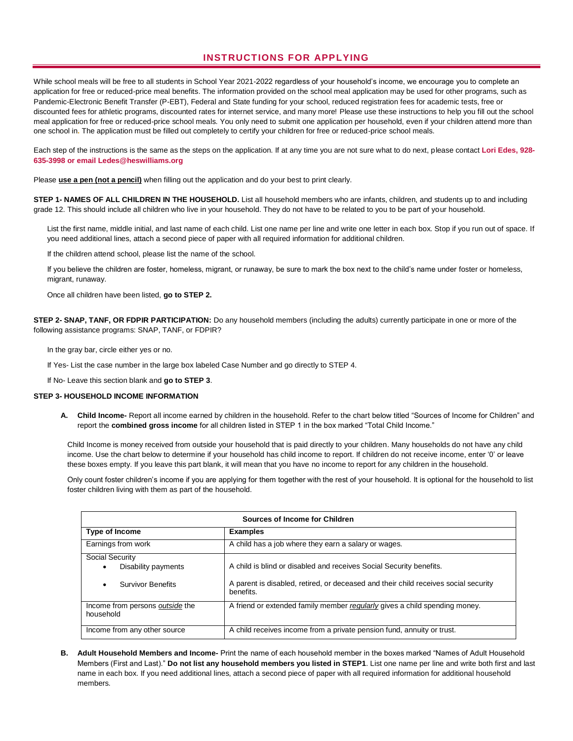# **INSTRUCTIONS FOR APPLYING**

While school meals will be free to all students in School Year 2021-2022 regardless of your household's income, we encourage you to complete an application for free or reduced-price meal benefits. The information provided on the school meal application may be used for other programs, such as Pandemic-Electronic Benefit Transfer (P-EBT), Federal and State funding for your school, reduced registration fees for academic tests, free or discounted fees for athletic programs, discounted rates for internet service, and many more! Please use these instructions to help you fill out the school meal application for free or reduced-price school meals. You only need to submit one application per household, even if your children attend more than one school in**.** The application must be filled out completely to certify your children for free or reduced-price school meals.

Each step of the instructions is the same as the steps on the application. If at any time you are not sure what to do next, please contact **Lori Edes, 928- 635-3998 or email Ledes@heswilliams.org**

Please **use a pen (not a pencil)** when filling out the application and do your best to print clearly.

**STEP 1- NAMES OF ALL CHILDREN IN THE HOUSEHOLD.** List all household members who are infants, children, and students up to and including grade 12. This should include all children who live in your household. They do not have to be related to you to be part of your household.

List the first name, middle initial, and last name of each child. List one name per line and write one letter in each box. Stop if you run out of space. If you need additional lines, attach a second piece of paper with all required information for additional children.

If the children attend school, please list the name of the school.

If you believe the children are foster, homeless, migrant, or runaway, be sure to mark the box next to the child's name under foster or homeless, migrant, runaway.

Once all children have been listed, **go to STEP 2.** 

**STEP 2- SNAP, TANF, OR FDPIR PARTICIPATION:** Do any household members (including the adults) currently participate in one or more of the following assistance programs: SNAP, TANF, or FDPIR?

In the gray bar, circle either yes or no.

If Yes- List the case number in the large box labeled Case Number and go directly to STEP 4.

If No- Leave this section blank and **go to STEP 3**.

# **STEP 3- HOUSEHOLD INCOME INFORMATION**

**A. Child Income-** Report all income earned by children in the household. Refer to the chart below titled "Sources of Income for Children" and report the **combined gross income** for all children listed in STEP 1 in the box marked "Total Child Income."

Child Income is money received from outside your household that is paid directly to your children. Many households do not have any child income. Use the chart below to determine if your household has child income to report. If children do not receive income, enter '0' or leave these boxes empty. If you leave this part blank, it will mean that you have no income to report for any children in the household.

Only count foster children's income if you are applying for them together with the rest of your household. It is optional for the household to list foster children living with them as part of the household.

| Sources of Income for Children                |                                                                                                  |  |  |
|-----------------------------------------------|--------------------------------------------------------------------------------------------------|--|--|
| <b>Type of Income</b>                         | <b>Examples</b>                                                                                  |  |  |
| Earnings from work                            | A child has a job where they earn a salary or wages.                                             |  |  |
| <b>Social Security</b><br>Disability payments | A child is blind or disabled and receives Social Security benefits.                              |  |  |
| <b>Survivor Benefits</b><br>٠                 | A parent is disabled, retired, or deceased and their child receives social security<br>benefits. |  |  |
| Income from persons outside the<br>household  | A friend or extended family member regularly gives a child spending money.                       |  |  |
| Income from any other source                  | A child receives income from a private pension fund, annuity or trust.                           |  |  |

**B. Adult Household Members and Income-** Print the name of each household member in the boxes marked "Names of Adult Household Members (First and Last)." **Do not list any household members you listed in STEP1**. List one name per line and write both first and last name in each box. If you need additional lines, attach a second piece of paper with all required information for additional household members.